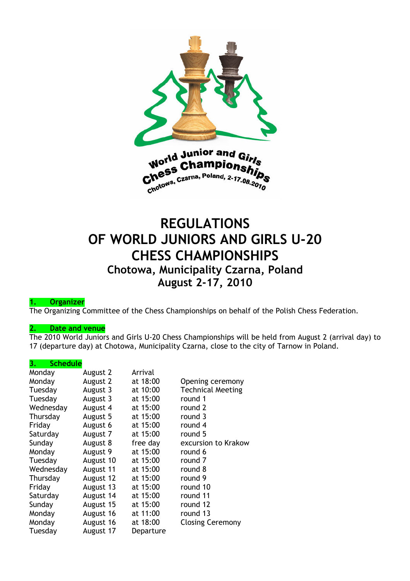

## REGULATIONS OF WORLD JUNIORS AND GIRLS U-20 CHESS CHAMPIONSHIPS Chotowa, Municipality Czarna, Poland August 2-17, 2010

#### 1. Organizer

The Organizing Committee of the Chess Championships on behalf of the Polish Chess Federation.

#### 2. Date and venue

The 2010 World Juniors and Girls U-20 Chess Championships will be held from August 2 (arrival day) to 17 (departure day) at Chotowa, Municipality Czarna, close to the city of Tarnow in Poland.

#### 3. Schedule

| Monday    | August 2  | Arrival   |                          |
|-----------|-----------|-----------|--------------------------|
| Monday    | August 2  | at 18:00  | Opening ceremony         |
| Tuesday   | August 3  | at 10:00  | <b>Technical Meeting</b> |
| Tuesday   | August 3  | at 15:00  | round 1                  |
| Wednesday | August 4  | at 15:00  | round 2                  |
| Thursday  | August 5  | at 15:00  | round 3                  |
| Friday    | August 6  | at 15:00  | round 4                  |
| Saturday  | August 7  | at 15:00  | round 5                  |
| Sunday    | August 8  | free day  | excursion to Krakow      |
| Monday    | August 9  | at 15:00  | round 6                  |
| Tuesday   | August 10 | at 15:00  | round 7                  |
| Wednesday | August 11 | at 15:00  | round 8                  |
| Thursday  | August 12 | at 15:00  | round 9                  |
| Friday    | August 13 | at 15:00  | round 10                 |
| Saturday  | August 14 | at 15:00  | round 11                 |
| Sunday    | August 15 | at 15:00  | round 12                 |
| Monday    | August 16 | at 11:00  | round 13                 |
| Monday    | August 16 | at 18:00  | <b>Closing Ceremony</b>  |
| Tuesday   | August 17 | Departure |                          |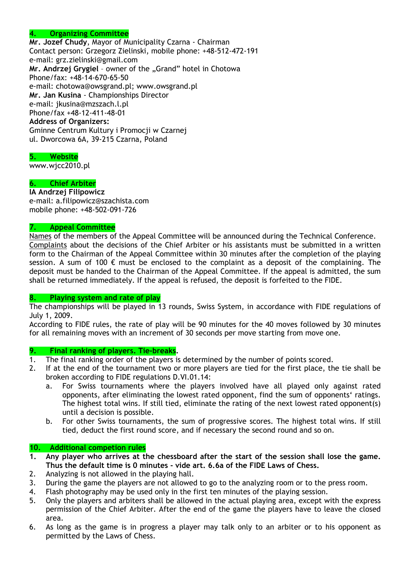## 4. Organizing Committee

Mr. Jozef Chudy, Mayor of Municipality Czarna - Chairman Contact person: Grzegorz Zielinski, mobile phone: +48-512-472-191 e-mail: grz.zielinski@gmail.com Mr. Andrzej Grygiel - owner of the "Grand" hotel in Chotowa Phone/fax: +48-14-670-65-50 e-mail: chotowa@owsgrand.pl; www.owsgrand.pl Mr. Jan Kusina - Championships Director e-mail: jkusina@mzszach.l.pl Phone/fax +48-12-411-48-01 Address of Organizers: Gminne Centrum Kultury i Promocji w Czarnej ul. Dworcowa 6A, 39-215 Czarna, Poland

## 5. Website

www.wjcc2010.pl

#### 6. Chief Arbiter

IA Andrzej Filipowicz e-mail: a.filipowicz@szachista.com mobile phone: +48-502-091-726

#### 7. Appeal Committee

Names of the members of the Appeal Committee will be announced during the Technical Conference. Complaints about the decisions of the Chief Arbiter or his assistants must be submitted in a written form to the Chairman of the Appeal Committee within 30 minutes after the completion of the playing session. A sum of 100  $\epsilon$  must be enclosed to the complaint as a deposit of the complaining. The deposit must be handed to the Chairman of the Appeal Committee. If the appeal is admitted, the sum shall be returned immediately. If the appeal is refused, the deposit is forfeited to the FIDE.

#### 8. Playing system and rate of play

The championships will be played in 13 rounds, Swiss System, in accordance with FIDE regulations of July 1, 2009.

According to FIDE rules, the rate of play will be 90 minutes for the 40 moves followed by 30 minutes for all remaining moves with an increment of 30 seconds per move starting from move one.

# **9. Final ranking of players. Tie-breaks.**<br>1. The final ranking order of the players is

- The final ranking order of the players is determined by the number of points scored.
- 2. If at the end of the tournament two or more players are tied for the first place, the tie shall be broken according to FIDE regulations D.VI.01.14:
	- a. For Swiss tournaments where the players involved have all played only against rated opponents, after eliminating the lowest rated opponent, find the sum of opponents' ratings. The highest total wins. If still tied, eliminate the rating of the next lowest rated opponent(s) until a decision is possible.
	- b. For other Swiss tournaments, the sum of progressive scores. The highest total wins. If still tied, deduct the first round score, and if necessary the second round and so on.

#### 10. Additional competion rules

- 1. Any player who arrives at the chessboard after the start of the session shall lose the game. Thus the default time is 0 minutes - vide art. 6.6a of the FIDE Laws of Chess.
- 2. Analyzing is not allowed in the playing hall.
- 3. During the game the players are not allowed to go to the analyzing room or to the press room.
- 4. Flash photography may be used only in the first ten minutes of the playing session.
- 5. Only the players and arbiters shall be allowed in the actual playing area, except with the express permission of the Chief Arbiter. After the end of the game the players have to leave the closed area.
- 6. As long as the game is in progress a player may talk only to an arbiter or to his opponent as permitted by the Laws of Chess.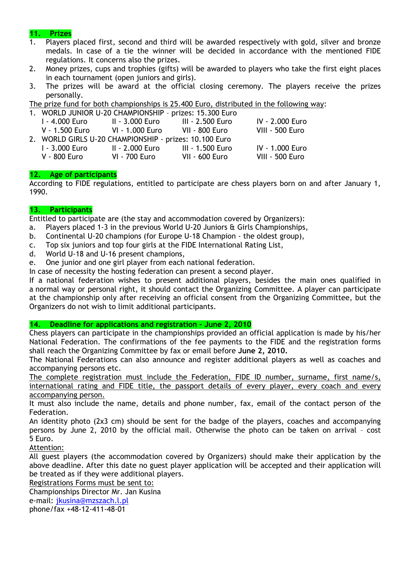## 11. Prizes

- 1. Players placed first, second and third will be awarded respectively with gold, silver and bronze medals. In case of a tie the winner will be decided in accordance with the mentioned FIDE regulations. It concerns also the prizes.
- 2. Money prizes, cups and trophies (gifts) will be awarded to players who take the first eight places in each tournament (open juniors and girls).
- 3. The prizes will be award at the official closing ceremony. The players receive the prizes personally.

The prize fund for both championships is 25.400 Euro, distributed in the following way:

| 1. WORLD JUNIOR U-20 CHAMPIONSHIP - prizes: 15.300 Euro |                 |                       |                 |  |
|---------------------------------------------------------|-----------------|-----------------------|-----------------|--|
| I - 4.000 Euro                                          | II - 3.000 Euro | III - 2.500 Euro      | IV - 2.000 Euro |  |
| V - 1.500 Euro VI - 1.000 Euro VII - 800 Euro           |                 |                       | VIII - 500 Euro |  |
| 2. WORLD GIRLS U-20 CHAMPIONSHIP - prizes: 10.100 Euro  |                 |                       |                 |  |
| 1 - 3.000 Euro                                          | II - 2.000 Euro | III - 1.500 Euro      | IV - 1.000 Euro |  |
| V - 800 Euro                                            | VI - 700 Euro   | <b>VII - 600 Euro</b> | VIII - 500 Euro |  |

#### 12. Age of participants

According to FIDE regulations, entitled to participate are chess players born on and after January 1, 1990.

## 13. Participants

Entitled to participate are (the stay and accommodation covered by Organizers):

- a. Players placed 1-3 in the previous World U-20 Juniors & Girls Championships,
- b. Continental U-20 champions (for Europe U-18 Champion the oldest group),
- c. Top six juniors and top four girls at the FIDE International Rating List,
- d. World U-18 and U-16 present champions,
- e. One junior and one girl player from each national federation.

In case of necessity the hosting federation can present a second player.

If a national federation wishes to present additional players, besides the main ones qualified in a normal way or personal right, it should contact the Organizing Committee. A player can participate at the championship only after receiving an official consent from the Organizing Committee, but the Organizers do not wish to limit additional participants.

#### 14. Deadline for applications and registration – June 2, 2010

Chess players can participate in the championships provided an official application is made by his/her National Federation. The confirmations of the fee payments to the FIDE and the registration forms shall reach the Organizing Committee by fax or email before June 2, 2010.

The National Federations can also announce and register additional players as well as coaches and accompanying persons etc.

The complete registration must include the Federation, FIDE ID number, surname, first name/s, international rating and FIDE title, the passport details of every player, every coach and every accompanying person.

It must also include the name, details and phone number, fax, email of the contact person of the Federation.

An identity photo (2x3 cm) should be sent for the badge of the players, coaches and accompanying persons by June 2, 2010 by the official mail. Otherwise the photo can be taken on arrival – cost 5 Euro.

Attention:

All guest players (the accommodation covered by Organizers) should make their application by the above deadline. After this date no guest player application will be accepted and their application will be treated as if they were additional players.

Registrations Forms must be sent to:

Championships Director Mr. Jan Kusina e-mail: jkusina@mzszach.l.pl

phone/fax +48-12-411-48-01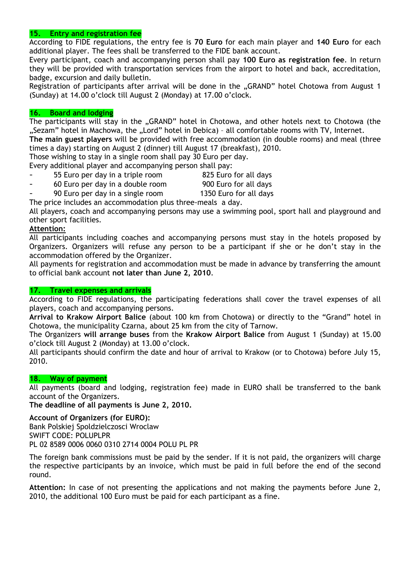## 15. Entry and registration fee

According to FIDE regulations, the entry fee is 70 Euro for each main player and 140 Euro for each additional player. The fees shall be transferred to the FIDE bank account.

Every participant, coach and accompanying person shall pay 100 Euro as registration fee. In return they will be provided with transportation services from the airport to hotel and back, accreditation, badge, excursion and daily bulletin.

Registration of participants after arrival will be done in the "GRAND" hotel Chotowa from August 1 (Sunday) at 14.00 o'clock till August 2 (Monday) at 17.00 o'clock.

#### 16. Board and lodging

The participants will stay in the "GRAND" hotel in Chotowa, and other hotels next to Chotowa (the "Sezam" hotel in Machowa, the "Lord" hotel in Debica) - all comfortable rooms with TV, Internet.

The main guest players will be provided with free accommodation (in double rooms) and meal (three times a day) starting on August 2 (dinner) till August 17 (breakfast), 2010.

Those wishing to stay in a single room shall pay 30 Euro per day.

Every additional player and accompanying person shall pay:

- 55 Euro per day in a triple room 825 Euro for all days
- 60 Euro per day in a double room 900 Euro for all days
	-
- 90 Euro per day in a single room 1350 Euro for all days

The price includes an accommodation plus three-meals a day.

All players, coach and accompanying persons may use a swimming pool, sport hall and playground and other sport facilities.

## Attention:

All participants including coaches and accompanying persons must stay in the hotels proposed by Organizers. Organizers will refuse any person to be a participant if she or he don't stay in the accommodation offered by the Organizer.

All payments for registration and accommodation must be made in advance by transferring the amount to official bank account not later than June 2, 2010.

#### 17. Travel expenses and arrivals

According to FIDE regulations, the participating federations shall cover the travel expenses of all players, coach and accompanying persons.

Arrival to Krakow Airport Balice (about 100 km from Chotowa) or directly to the "Grand" hotel in Chotowa, the municipality Czarna, about 25 km from the city of Tarnow.

The Organizers will arrange buses from the Krakow Airport Balice from August 1 (Sunday) at 15.00 o'clock till August 2 (Monday) at 13.00 o'clock.

All participants should confirm the date and hour of arrival to Krakow (or to Chotowa) before July 15, 2010.

#### 18. Way of payment

All payments (board and lodging, registration fee) made in EURO shall be transferred to the bank account of the Organizers.

The deadline of all payments is June 2, 2010.

Account of Organizers (for EURO): Bank Polskiej Spoldzielczosci Wroclaw SWIFT CODE: POLUPLPR PL 02 8589 0006 0060 0310 2714 0004 POLU PL PR

The foreign bank commissions must be paid by the sender. If it is not paid, the organizers will charge the respective participants by an invoice, which must be paid in full before the end of the second round.

Attention: In case of not presenting the applications and not making the payments before June 2, 2010, the additional 100 Euro must be paid for each participant as a fine.